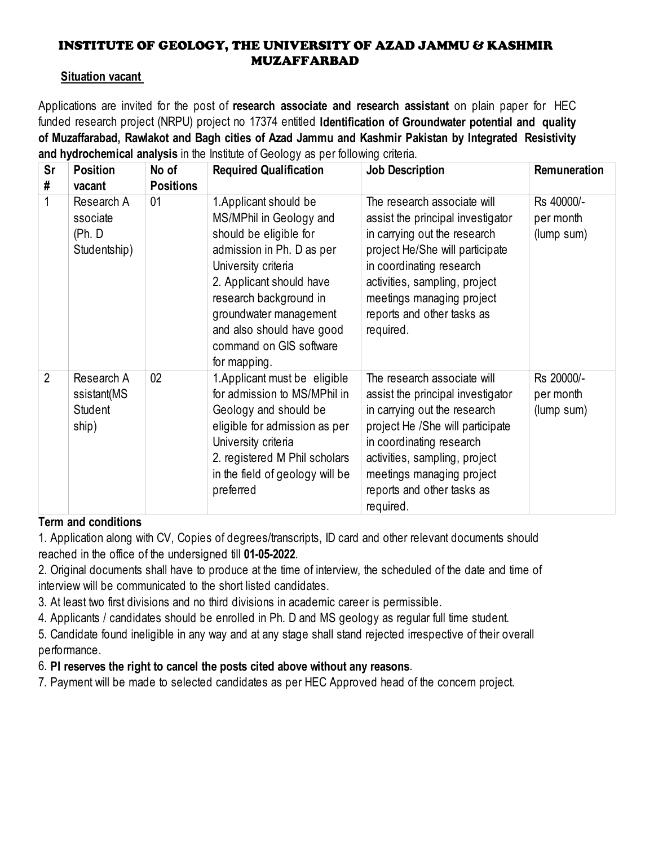## INSTITUTE OF GEOLOGY, THE UNIVERSITY OF AZAD JAMMU & KASHMIR MUZAFFARBAD

## **Situation vacant**

Applications are invited for the post of **research associate and research assistant** on plain paper for HEC funded research project (NRPU) project no 17374 entitled **Identification of Groundwater potential and quality of Muzaffarabad, Rawlakot and Bagh cities of Azad Jammu and Kashmir Pakistan by Integrated Resistivity and hydrochemical analysis** in the Institute of Geology as per following criteria.

| <b>Sr</b>      | <b>Position</b>                                  | No of            | <b>Required Qualification</b>                                                                                                                                                                                                                                                           | <b>Job Description</b>                                                                                                                                                                                                                                                    | Remuneration                          |
|----------------|--------------------------------------------------|------------------|-----------------------------------------------------------------------------------------------------------------------------------------------------------------------------------------------------------------------------------------------------------------------------------------|---------------------------------------------------------------------------------------------------------------------------------------------------------------------------------------------------------------------------------------------------------------------------|---------------------------------------|
| #              | vacant                                           | <b>Positions</b> |                                                                                                                                                                                                                                                                                         |                                                                                                                                                                                                                                                                           |                                       |
| $\mathbf{1}$   | Research A<br>ssociate<br>(Ph. D<br>Studentship) | 01               | 1. Applicant should be<br>MS/MPhil in Geology and<br>should be eligible for<br>admission in Ph. D as per<br>University criteria<br>2. Applicant should have<br>research background in<br>groundwater management<br>and also should have good<br>command on GIS software<br>for mapping. | The research associate will<br>assist the principal investigator<br>in carrying out the research<br>project He/She will participate<br>in coordinating research<br>activities, sampling, project<br>meetings managing project<br>reports and other tasks as<br>required.  | Rs 40000/-<br>per month<br>(lump sum) |
| $\overline{2}$ | Research A<br>ssistant(MS<br>Student<br>ship)    | 02               | 1. Applicant must be eligible<br>for admission to MS/MPhil in<br>Geology and should be<br>eligible for admission as per<br>University criteria<br>2. registered M Phil scholars<br>in the field of geology will be<br>preferred                                                         | The research associate will<br>assist the principal investigator<br>in carrying out the research<br>project He /She will participate<br>in coordinating research<br>activities, sampling, project<br>meetings managing project<br>reports and other tasks as<br>required. | Rs 20000/-<br>per month<br>(lump sum) |

## **Term and conditions**

1. Application along with CV, Copies of degrees/transcripts, ID card and other relevant documents should reached in the office of the undersigned till **01-05-2022**.

2. Original documents shall have to produce at the time of interview, the scheduled of the date and time of interview will be communicated to the short listed candidates.

3. At least two first divisions and no third divisions in academic career is permissible.

4. Applicants / candidates should be enrolled in Ph. D and MS geology as regular full time student.

5. Candidate found ineligible in any way and at any stage shall stand rejected irrespective of their overall performance.

## 6. **PI reserves the right to cancel the posts cited above without any reasons**.

7. Payment will be made to selected candidates as per HEC Approved head of the concern project.